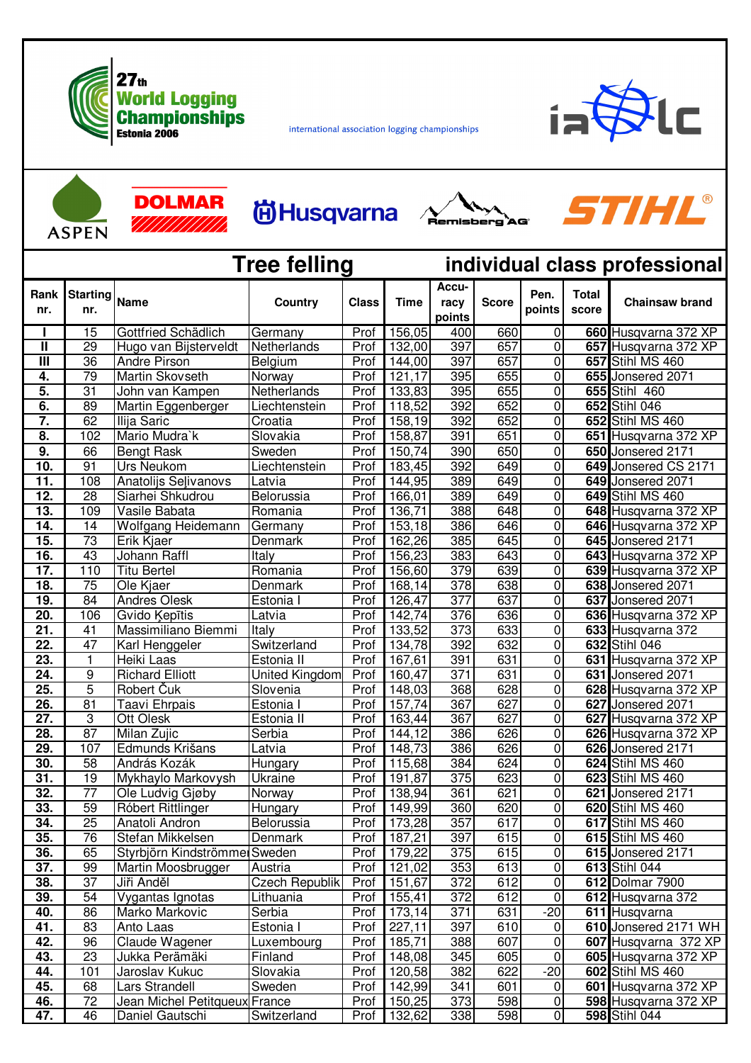

**DOLMAR** 

international association logging championships



ASPEN

## **尚Husqvarna**





| <b>Tree felling</b>      |                        |                                  |                       |              |                  | individual class professional |              |                                      |                       |                                              |  |
|--------------------------|------------------------|----------------------------------|-----------------------|--------------|------------------|-------------------------------|--------------|--------------------------------------|-----------------------|----------------------------------------------|--|
| Rank<br>nr.              | <b>Starting</b><br>nr. | <b>Name</b>                      | <b>Country</b>        | <b>Class</b> | <b>Time</b>      | Accu-<br>racy<br>points       | <b>Score</b> | Pen.<br>points                       | <b>Total</b><br>score | <b>Chainsaw brand</b>                        |  |
|                          | 15                     | Gottfried Schädlich              | Germany               | Prof         | 156,05           | 400                           | 660          | $\mathbf 0$                          |                       | 660 Husqvarna 372 XP                         |  |
| $\mathbf{I}$             | 29                     | Hugo van Bijsterveldt            | Netherlands           | Prof         | 132,00           | 397                           | 657          | $\pmb{0}$                            |                       | 657 Husqvarna 372 XP                         |  |
| $\overline{\mathbf{m}}$  | $\overline{36}$        | <b>Andre Pirson</b>              | Belgium               | Prof         | 144,00           | 397                           | 657          | $\overline{0}$                       |                       | 657 Stihl MS 460                             |  |
| 4.                       | 79                     | Martin Skovseth                  | Norway                | Prof         | 121,17           | 395                           | 655          | 0                                    |                       | 655 Jonsered 2071                            |  |
| 5.                       | $\overline{31}$        | John van Kampen                  | Netherlands           | Prof         | 133,83           | 395                           | 655          | 0                                    |                       | 655 Stihl 460                                |  |
| $\overline{6}$ .         | 89                     | Martin Eggenberger               | Liechtenstein         | Prof         | 118,52           | 392                           | 652          | $\overline{0}$                       |                       | 652 Stihl 046                                |  |
| $\overline{7}$ .         | 62                     | Ilija Saric                      | Croatia               | Prof         | 158,19           | 392                           | 652          | 0                                    |                       | 652 Stihl MS 460                             |  |
| 8.                       | 102                    | Mario Mudra'k                    | Slovakia              | Prof         | 158,87           | 391                           | 651          | 0                                    |                       | 651 Husqvarna 372 XP                         |  |
| $\overline{9}$ .         | 66                     | <b>Bengt Rask</b>                | Sweden                | Prof         | 150,74           | 390                           | 650          | 0                                    |                       | 650 Jonsered 2171                            |  |
| 10.                      | 91                     | Urs Neukom                       | Liechtenstein         | Prof         | 183,45           | 392                           | 649          | 0                                    |                       | 649 Jonsered CS 2171                         |  |
| 11.                      | 108                    | Anatolijs Selivanovs             | Latvia                | Prof         | 144,95           | 389                           | 649          | 0                                    |                       | 649 Jonsered 2071                            |  |
| $\overline{12}$ .        | $\overline{28}$        | Siarhei Shkudrou                 | Belorussia            | Prof         | 166,01           | 389                           | 649          | $\mathbf 0$                          |                       | 649 Stihl MS 460                             |  |
| 13.                      | 109                    | Vasile Babata                    | Romania               | Prof         | 136,71           | 388                           | 648          | 0                                    |                       | 648 Husqvarna 372 XP                         |  |
| $\overline{14}$ .        | 14                     | Wolfgang Heidemann               | Germany               | Prof         | 153,18           | 386                           | 646          | 0                                    |                       | 646 Husqvarna 372 XP                         |  |
| 15.                      | 73                     | Erik Kjaer                       | <b>Denmark</b>        | Prof         | 162,26           | 385                           | 645          | $\overline{0}$                       |                       | 645 Jonsered 2171                            |  |
| 16.                      | 43                     | Johann Raffl                     | Italy                 | Prof         | 156,23           | 383                           | 643          | 0                                    |                       | 643 Husqvarna 372 XP                         |  |
| 17.                      | 110                    | <b>Titu Bertel</b>               | Romania               | Prof         | 156,60           | $\overline{379}$              | 639          | 0                                    |                       | 639 Husqvarna 372 XP                         |  |
| 18.                      | $\overline{75}$        | Ole Kjaer                        | <b>Denmark</b>        | Prof         | 168,14           | $\overline{378}$              | 638          | $\overline{0}$                       |                       | 638 Jonsered 2071                            |  |
| 19.                      | 84                     | <b>Andres Olesk</b>              | Estonia I             | Prof         | 126,47           | $\overline{377}$              | 637          | $\mathbf 0$                          |                       | 637 Jonsered 2071                            |  |
| 20.                      | 106                    | Gvido Kepītis                    | Latvia                | Prof         | 142,74           | 376                           | 636          | 0                                    |                       | 636 Husqvarna 372 XP                         |  |
| $\overline{21}$          | 41                     | Massimiliano Biemmi              | Italy                 | Prof         | 133,52           | 373                           | 633          | 0                                    |                       | 633 Husqvarna 372                            |  |
| 22.                      | 47                     | Karl Henggeler                   | Switzerland           | Prof         | 134,78           | 392                           | 632          | 0                                    |                       | 632 Stihl 046                                |  |
| 23.                      | 1                      | Heiki Laas                       | Estonia II            | Prof         | 167,61           | 391                           | 631          | 0                                    |                       | 631 Husqvarna 372 XP                         |  |
| 24.                      | 9                      | <b>Richard Elliott</b>           | United Kingdom        | Prof         | 160,47           | 371                           | 631          | 0                                    |                       | 631 Jonsered 2071                            |  |
| 25.                      | $\overline{5}$         | Robert Čuk                       | Slovenia              | Prof         | 148,03           | 368                           | 628          | 0                                    |                       | 628 Husqvarna 372 XP                         |  |
| 26.                      | $\overline{81}$        | Taavi Ehrpais                    | Estonia I             | Prof         | 157,74           | 367                           | 627          | 0                                    |                       | 627 Jonsered 2071                            |  |
| 27.                      | 3                      | Ott Olesk                        | Estonia II            | Prof         | 163,44           | 367                           | 627          | 0                                    |                       | 627 Husqvarna 372 XP                         |  |
| $\overline{28}$ .        | 87                     | Milan Zujic                      | Serbia                | Prof         | 144,12           | 386                           | 626          | 0                                    |                       | 626 Husqvarna 372 XP                         |  |
| 29.                      | 107                    | Edmunds Krišans                  | _atvia                | Prof         | 148,73           | 386                           | 626          | 0                                    |                       | 626 Jonsered 2171                            |  |
| 30.                      | 58                     | András Kozák                     | <b>Hungary</b>        | Prof         | 115,68           | 384                           | 624          | 0                                    |                       | 624 Stihl MS 460                             |  |
| $\overline{31}$          | $\overline{19}$        | Mykhaylo Markovysh               | Ukraine               | Prof         | 191,87           | 375                           | 623          | 0                                    |                       | 623 Stihl MS 460                             |  |
| 32.                      | $\overline{77}$        | Ole Ludvig Gjøby                 | Norway                | Prof         | 138,94           | 361                           | 621          | 0                                    |                       | 621 Jonsered 2171                            |  |
| 33.                      | $\overline{59}$        | Róbert Rittlinger                | Hungary               | Prof I       | 149,99           | 360                           | 620          | 0                                    |                       | 620 Stihl MS 460                             |  |
| 34.                      | 25                     | Anatoli Andron                   | Belorussia            | Prof         | 173,28           | 357                           | 617          | $\pmb{0}$                            |                       | 617 Stihl MS 460                             |  |
| 35.                      | 76                     | Stefan Mikkelsen                 | Denmark               | Prof         | 187,21           | 397                           | 615          | 0                                    |                       | 615 Stihl MS 460                             |  |
| 36.<br>$\overline{37}$ . | 65<br>99               | Styrbjörn Kindströmmer Sweden    | Austria               | Prof<br>Prof | 179,22<br>121,02 | 375<br>353                    | 615<br>613   | 0<br>$\pmb{0}$                       |                       | 615 Jonsered 2171<br>613 Stihl 044           |  |
| 38.                      | $\overline{37}$        | Martin Moosbrugger<br>Jiři Anděl | <b>Czech Republik</b> | Prof         | 151,67           | 372                           | 612          | $\pmb{0}$                            |                       | 612 Dolmar 7900                              |  |
| 39.                      | $\overline{54}$        |                                  | Lithuania             | Prof         | 155,41           | 372                           | 612          | $\overline{0}$                       |                       | 612 Husqvarna 372                            |  |
| 40.                      | 86                     | Vygantas Ignotas                 |                       | Prof         | 173,14           | $\overline{371}$              | 631          | $-20$                                |                       | 611 Husqvarna                                |  |
| 41.                      | 83                     | Marko Markovic                   | Serbia                |              |                  |                               |              |                                      |                       |                                              |  |
| 42.                      | 96                     | Anto Laas<br>Claude Wagener      | Estonia I             | Prof<br>Prof | 227,11<br>185,71 | 397<br>388                    | 610<br>607   | $\pmb{0}$<br>$\overline{\mathbf{o}}$ |                       | 610 Jonsered 2171 WH<br>607 Husqvarna 372 XP |  |
| 43.                      | 23                     | Jukka Perämäki                   | Luxembourg<br>Finland | Prof         | 148,08           | 345                           | 605          | $\pmb{0}$                            |                       | 605 Husqvarna 372 XP                         |  |
| 44.                      | 101                    | Jaroslav Kukuc                   | Slovakia              | Prof         | 120,58           | 382                           | 622          | $-20$                                |                       | 602 Stihl MS 460                             |  |
| 45.                      | 68                     | Lars Strandell                   | Sweden                | Prof         | 142,99           | 341                           | 601          | $\mathbf 0$                          |                       | 601 Husqvarna 372 XP                         |  |
| 46.                      | 72                     | Jean Michel Petitqueux France    |                       | Prof         | 150,25           | 373                           | 598          | $\overline{0}$                       |                       | 598 Husqvarna 372 XP                         |  |
| 47.                      | 46                     | Daniel Gautschi                  | Switzerland           |              | Prof 132,62      | 338                           | 598          | 0                                    |                       | 598 Stihl 044                                |  |